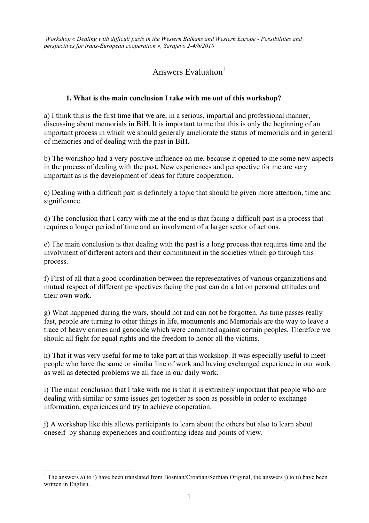*Workshop « Dealing with difficult pasts in the Western Balkans and Western Europe - Possibilities and perspectives for trans-European cooperation », Sarajevo 2-4/6/2010*

# Answers Evaluation $1$

#### **1. What is the main conclusion I take with me out of this workshop?**

a) I think this is the first time that we are, in a serious, impartial and professional manner, discussing about memorials in BiH. It is important to me that this is only the beginning of an important process in which we should generaly ameliorate the status of memorials and in general of memories and of dealing with the past in BiH.

b) The workshop had a very positive influence on me, because it opened to me some new aspects in the process of dealing with the past. New experiences and perspective for me are very important as is the development of ideas for future cooperation.

c) Dealing with a difficult past is definitely a topic that should be given more attention, time and significance.

d) The conclusion that I carry with me at the end is that facing a difficult past is a process that requires a longer period of time and an involvment of a larger sector of actions.

e) The main conclusion is that dealing with the past is a long process that requires time and the involvment of different actors and their commitment in the societies which go through this process.

f) First of all that a good coordination between the representatives of various organizations and mutual respect of different perspectives facing the past can do a lot on personal attitudes and their own work.

g) What happened during the wars, should not and can not be forgotten. As time passes really fast, people are turning to other things in life, monuments and Memorials are the way to leave a trace of heavy crimes and genocide which were commited against certain peoples. Therefore we should all fight for equal rights and the freedom to honor all the victims.

h) That it was very useful for me to take part at this workshop. It was especially useful to meet people who have the same or similar line of work and having exchanged experience in our work as well as detected problems we all face in our daily work.

i) The main conclusion that I take with me is that it is extremely important that people who are dealing with similar or same issues get together as soon as possible in order to exchange information, experiences and try to achieve cooperation.

j) A workshop like this allows participants to learn about the others but also to learn about oneself by sharing experiences and confronting ideas and points of view.

 $<sup>1</sup>$  The answers a) to i) have been translated from Bosnian/Croatian/Serbian Original, the answers j) to u) have been</sup> written in English.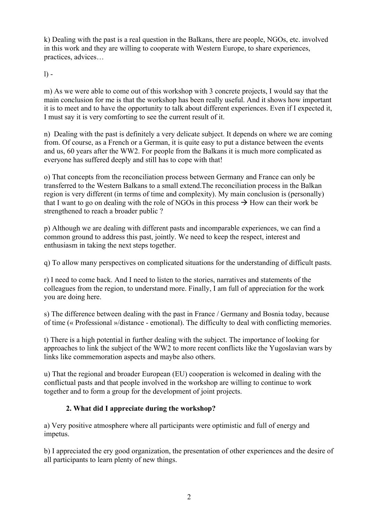k) Dealing with the past is a real question in the Balkans, there are people, NGOs, etc. involved in this work and they are willing to cooperate with Western Europe, to share experiences, practices, advices…

 $l$ ) -

m) As we were able to come out of this workshop with 3 concrete projects, I would say that the main conclusion for me is that the workshop has been really useful. And it shows how important it is to meet and to have the opportunity to talk about different experiences. Even if I expected it, I must say it is very comforting to see the current result of it.

n) Dealing with the past is definitely a very delicate subject. It depends on where we are coming from. Of course, as a French or a German, it is quite easy to put a distance between the events and us, 60 years after the WW2. For people from the Balkans it is much more complicated as everyone has suffered deeply and still has to cope with that!

o) That concepts from the reconciliation process between Germany and France can only be transferred to the Western Balkans to a small extend.The reconciliation process in the Balkan region is very different (in terms of time and complexity). My main conclusion is (personally) that I want to go on dealing with the role of NGOs in this process  $\rightarrow$  How can their work be strengthened to reach a broader public ?

p) Although we are dealing with different pasts and incomparable experiences, we can find a common ground to address this past, jointly. We need to keep the respect, interest and enthusiasm in taking the next steps together.

q) To allow many perspectives on complicated situations for the understanding of difficult pasts.

r) I need to come back. And I need to listen to the stories, narratives and statements of the colleagues from the region, to understand more. Finally, I am full of appreciation for the work you are doing here.

s) The difference between dealing with the past in France / Germany and Bosnia today, because of time (« Professional »/distance - emotional). The difficulty to deal with conflicting memories.

t) There is a high potential in further dealing with the subject. The importance of looking for approaches to link the subject of the WW2 to more recent conflicts like the Yugoslavian wars by links like commemoration aspects and maybe also others.

u) That the regional and broader European (EU) cooperation is welcomed in dealing with the conflictual pasts and that people involved in the workshop are willing to continue to work together and to form a group for the development of joint projects.

### **2. What did I appreciate during the workshop?**

a) Very positive atmosphere where all participants were optimistic and full of energy and impetus.

b) I appreciated the ery good organization, the presentation of other experiences and the desire of all participants to learn plenty of new things.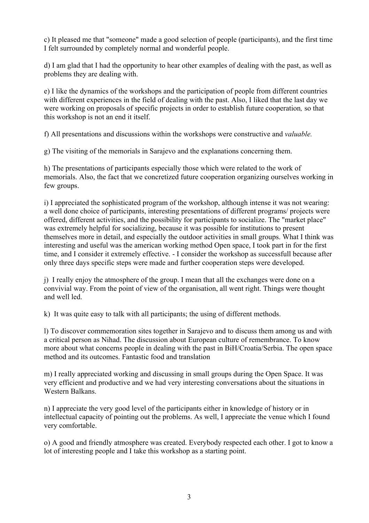c) It pleased me that "someone" made a good selection of people (participants), and the first time I felt surrounded by completely normal and wonderful people.

d) I am glad that I had the opportunity to hear other examples of dealing with the past, as well as problems they are dealing with.

e) I like the dynamics of the workshops and the participation of people from different countries with different experiences in the field of dealing with the past. Also, I liked that the last day we were working on proposals of specific projects in order to establish future cooperation*,* so that this workshop is not an end it itself.

f) All presentations and discussions within the workshops were constructive and *valuable.*

g) The visiting of the memorials in Sarajevo and the explanations concerning them.

h) The presentations of participants especially those which were related to the work of memorials. Also, the fact that we concretized future cooperation organizing ourselves working in few groups.

i) I appreciated the sophisticated program of the workshop, although intense it was not wearing: a well done choice of participants, interesting presentations of different programs/ projects were offered, different activities, and the possibility for participants to socialize. The "market place" was extremely helpful for socializing, because it was possible for institutions to present themselves more in detail, and especially the outdoor activities in small groups. What I think was interesting and useful was the american working method Open space, I took part in for the first time, and I consider it extremely effective. - I consider the workshop as successfull because after only three days specific steps were made and further cooperation steps were developed.

j) I really enjoy the atmosphere of the group. I mean that all the exchanges were done on a convivial way. From the point of view of the organisation, all went right. Things were thought and well led.

k) It was quite easy to talk with all participants; the using of different methods.

l) To discover commemoration sites together in Sarajevo and to discuss them among us and with a critical person as Nihad. The discussion about European culture of remembrance. To know more about what concerns people in dealing with the past in BiH/Croatia/Serbia. The open space method and its outcomes. Fantastic food and translation

m) I really appreciated working and discussing in small groups during the Open Space. It was very efficient and productive and we had very interesting conversations about the situations in Western Balkans.

n) I appreciate the very good level of the participants either in knowledge of history or in intellectual capacity of pointing out the problems. As well, I appreciate the venue which I found very comfortable.

o) A good and friendly atmosphere was created. Everybody respected each other. I got to know a lot of interesting people and I take this workshop as a starting point.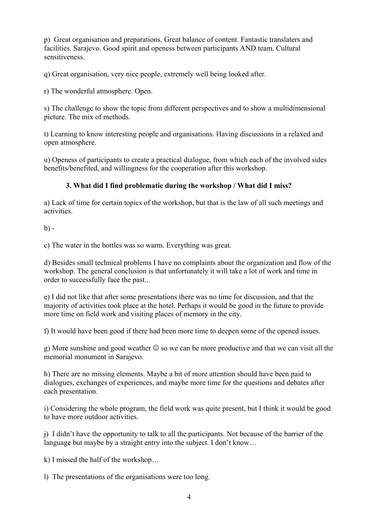p) Great organisation and preparations. Great balance of content. Fantastic translaters and facilities. Sarajevo. Good spirit and openess between participants AND team. Cultural sensitiveness.

q) Great organisation, very nice people, extremely well being looked after.

r) The wonderful atmosphere. Open.

s) The challenge to show the topic from different perspectives and to show a multidimensional picture. The mix of methods.

t) Learning to know interesting people and organisations. Having discussions in a relaxed and open atmosphere.

u) Openess of participants to create a practical dialogue, from which each of the involved sides benefits/benefited, and willingness for the cooperation after this workshop.

#### **3. What did I find problematic during the workshop / What did I miss?**

a) Lack of time for certain topics of the workshop, but that is the law of all such meetings and activities.

 $h$ ) -

c) The water in the bottles was so warm. Everything was great.

d) Besides small technical problems I have no complaints about the organization and flow of the workshop. The general conclusion is that unfortunately it will take a lot of work and time in order to successfully face the past...

e) I did not like that after some presentations there was no time for discussion, and that the majority of activities took place at the hotel. Perhaps it would be good in the future to provide more time on field work and visiting places of memory in the city.

f) It would have been good if there had been more time to deepen some of the opened issues.

g) More sunshine and good weather  $\odot$  so we can be more productive and that we can visit all the memorial monument in Sarajevo.

h) There are no missing elements. Maybe a bit of more attention should have been paid to dialogues, exchanges of experiences, and maybe more time for the questions and debates after each presentation.

i) Considering the whole program, the field work was quite present, but I think it would be good to have more outdoor activities.

j) I didn't have the opportunity to talk to all the participants. Not because of the barrier of the language but maybe by a straight entry into the subject. I don't know…

k) I missed the half of the workshop…

l) The presentations of the organisations were too long.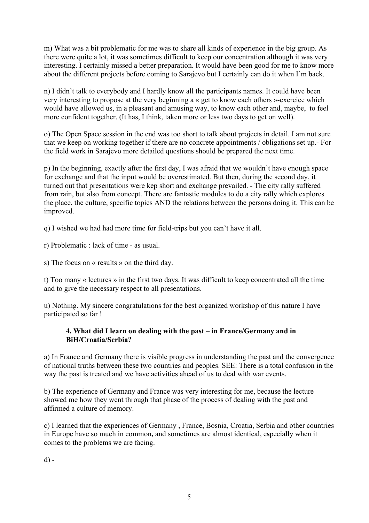m) What was a bit problematic for me was to share all kinds of experience in the big group. As there were quite a lot, it was sometimes difficult to keep our concentration although it was very interesting. I certainly missed a better preparation. It would have been good for me to know more about the different projects before coming to Sarajevo but I certainly can do it when I'm back.

n) I didn't talk to everybody and I hardly know all the participants names. It could have been very interesting to propose at the very beginning a « get to know each others »-exercice which would have allowed us, in a pleasant and amusing way, to know each other and, maybe, to feel more confident together. (It has, I think, taken more or less two days to get on well).

o) The Open Space session in the end was too short to talk about projects in detail. I am not sure that we keep on working together if there are no concrete appointments / obligations set up.- For the field work in Sarajevo more detailed questions should be prepared the next time.

p) In the beginning, exactly after the first day, I was afraid that we wouldn't have enough space for exchange and that the input would be overestimated. But then, during the second day, it turned out that presentations were kep short and exchange prevailed. - The city rally suffered from rain, but also from concept. There are fantastic modules to do a city rally which explores the place, the culture, specific topics AND the relations between the persons doing it. This can be improved.

q) I wished we had had more time for field-trips but you can't have it all.

r) Problematic : lack of time - as usual.

s) The focus on « results » on the third day.

t) Too many « lectures » in the first two days. It was difficult to keep concentrated all the time and to give the necessary respect to all presentations.

u) Nothing. My sincere congratulations for the best organized workshop of this nature I have participated so far !

#### **4. What did I learn on dealing with the past – in France/Germany and in BiH/Croatia/Serbia?**

a) In France and Germany there is visible progress in understanding the past and the convergence of national truths between these two countries and peoples. SEE: There is a total confusion in the way the past is treated and we have activities ahead of us to deal with war events.

b) The experience of Germany and France was very interesting for me, because the lecture showed me how they went through that phase of the process of dealing with the past and affirmed a culture of memory.

c) I learned that the experiences of Germany , France, Bosnia, Croatia, Serbia and other countries in Europe have so much in common**,** and sometimes are almost identical, e**s**pecially when it comes to the problems we are facing.

d) -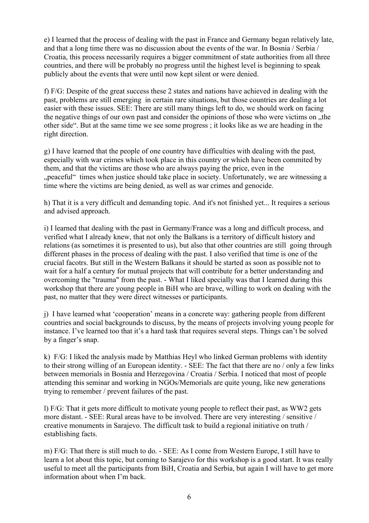e) I learned that the process of dealing with the past in France and Germany began relatively late, and that a long time there was no discussion about the events of the war. In Bosnia / Serbia / Croatia, this process necessarily requires a bigger commitment of state authorities from all three countries, and there will be probably no progress until the highest level is beginning to speak publicly about the events that were until now kept silent or were denied.

f) F/G: Despite of the great success these 2 states and nations have achieved in dealing with the past, problems are still emerging in certain rare situations, but those countries are dealing a lot easier with these issues. SEE: There are still many things left to do, we should work on facing the negative things of our own past and consider the opinions of those who were victims on  $\mu$ the other side". But at the same time we see some progress ; it looks like as we are heading in the right direction.

g) I have learned that the people of one country have difficulties with dealing with the past*,*  especially with war crimes which took place in this country or which have been commited by them, and that the victims are those who are always paying the price, even in the "peaceful" times when justice should take place in society. Unfortunately, we are witnessing a time where the victims are being denied, as well as war crimes and genocide.

h) That it is a very difficult and demanding topic. And it's not finished yet... It requires a serious and advised approach.

i) I learned that dealing with the past in Germany/France was a long and difficult process, and verified what I already knew, that not only the Balkans is a territory of difficult history and relations (as sometimes it is presented to us), but also that other countries are still going through different phases in the process of dealing with the past. I also verified that time is one of the crucial facotrs. But still in the Western Balkans it should be started as soon as possible not to wait for a half a century for mutual projects that will contribute for a better understanding and overcoming the "trauma" from the past. - What I liked specially was that I learned during this workshop that there are young people in BiH who are brave, willing to work on dealing with the past, no matter that they were direct witnesses or participants.

j) I have learned what 'cooperation' means in a concrete way: gathering people from different countries and social backgrounds to discuss, by the means of projects involving young people for instance. I've learned too that it's a hard task that requires several steps. Things can't be solved by a finger's snap.

k) F/G: I liked the analysis made by Matthias Heyl who linked German problems with identity to their strong willing of an European identity. - SEE: The fact that there are no / only a few links between memorials in Bosnia and Herzegovina / Croatia / Serbia. I noticed that most of people attending this seminar and working in NGOs/Memorials are quite young, like new generations trying to remember / prevent failures of the past.

l) F/G: That it gets more difficult to motivate young people to reflect their past, as WW2 gets more distant. - SEE: Rural areas have to be involved. There are very interesting / sensitive / creative monuments in Sarajevo. The difficult task to build a regional initiative on truth / establishing facts.

m) F/G: That there is still much to do. - SEE: As I come from Western Europe, I still have to learn a lot about this topic, but coming to Sarajevo for this workshop is a good start. It was really useful to meet all the participants from BiH, Croatia and Serbia, but again I will have to get more information about when I'm back.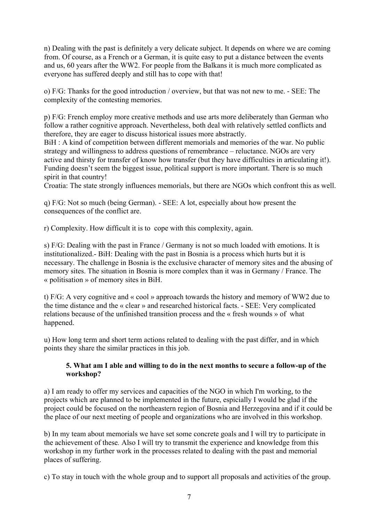n) Dealing with the past is definitely a very delicate subject. It depends on where we are coming from. Of course, as a French or a German, it is quite easy to put a distance between the events and us, 60 years after the WW2. For people from the Balkans it is much more complicated as everyone has suffered deeply and still has to cope with that!

o) F/G: Thanks for the good introduction / overview, but that was not new to me. - SEE: The complexity of the contesting memories.

p) F/G: French employ more creative methods and use arts more deliberately than German who follow a rather cognitive approach. Nevertheless, both deal with relatively settled conflicts and therefore, they are eager to discuss historical issues more abstractly.

BiH : A kind of competition between different memorials and memories of the war. No public strategy and willingness to address questions of remembrance – reluctance. NGOs are very active and thirsty for transfer of know how transfer (but they have difficulties in articulating it!). Funding doesn't seem the biggest issue, political support is more important. There is so much spirit in that country!

Croatia: The state strongly influences memorials, but there are NGOs which confront this as well.

q) F/G: Not so much (being German). - SEE: A lot, especially about how present the consequences of the conflict are.

r) Complexity. How difficult it is to cope with this complexity, again.

s) F/G: Dealing with the past in France / Germany is not so much loaded with emotions. It is institutionalized.- BiH: Dealing with the past in Bosnia is a process which hurts but it is necessary. The challenge in Bosnia is the exclusive character of memory sites and the abusing of memory sites. The situation in Bosnia is more complex than it was in Germany / France. The « politisation » of memory sites in BiH.

t) F/G: A very cognitive and « cool » approach towards the history and memory of WW2 due to the time distance and the « clear » and researched historical facts. - SEE: Very complicated relations because of the unfinished transition process and the « fresh wounds » of what happened.

u) How long term and short term actions related to dealing with the past differ, and in which points they share the similar practices in this job.

#### **5. What am I able and willing to do in the next months to secure a follow-up of the workshop?**

a) I am ready to offer my services and capacities of the NGO in which I'm working, to the projects which are planned to be implemented in the future, espicially I would be glad if the project could be focused on the northeastern region of Bosnia and Herzegovina and if it could be the place of our next meeting of people and organizations who are involved in this workshop.

b) In my team about memorials we have set some concrete goals and I will try to participate in the achievement of these*.* Also I will try to transmit the experience and knowledge from this workshop in my further work in the processes related to dealing with the past and memorial places of suffering.

c) To stay in touch with the whole group and to support all proposals and activities of the group.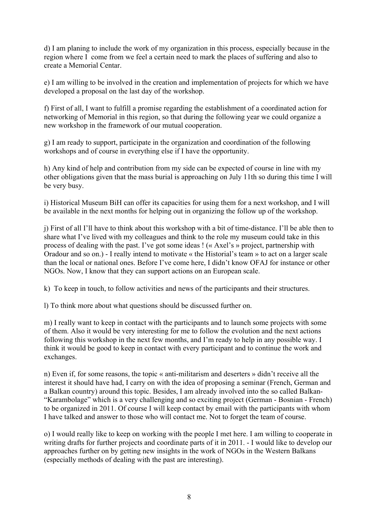d) I am planing to include the work of my organization in this process, especially because in the region where I come from we feel a certain need to mark the places of suffering and also to create a Memorial Centar.

e) I am willing to be involved in the creation and implementation of projects for which we have developed a proposal on the last day of the workshop.

f) First of all, I want to fulfill a promise regarding the establishment of a coordinated action for networking of Memorial in this region, so that during the following year we could organize a new workshop in the framework of our mutual cooperation.

g) I am ready to support, participate in the organization and coordination of the following workshops and of course in everything else if I have the opportunity.

h) Any kind of help and contribution from my side can be expected of course in line with my other obligations given that the mass burial is approaching on July 11th so during this time I will be very busy.

i) Historical Museum BiH can offer its capacities for using them for a next workshop, and I will be available in the next months for helping out in organizing the follow up of the workshop.

j) First of all I'll have to think about this workshop with a bit of time-distance. I'll be able then to share what I've lived with my colleagues and think to the role my museum could take in this process of dealing with the past. I've got some ideas ! (« Axel's » project, partnership with Oradour and so on.) - I really intend to motivate « the Historial's team » to act on a larger scale than the local or national ones. Before I've come here, I didn't know OFAJ for instance or other NGOs. Now, I know that they can support actions on an European scale.

k) To keep in touch, to follow activities and news of the participants and their structures.

l) To think more about what questions should be discussed further on.

m) I really want to keep in contact with the participants and to launch some projects with some of them. Also it would be very interesting for me to follow the evolution and the next actions following this workshop in the next few months, and I'm ready to help in any possible way. I think it would be good to keep in contact with every participant and to continue the work and exchanges.

n) Even if, for some reasons, the topic « anti-militarism and deserters » didn't receive all the interest it should have had, I carry on with the idea of proposing a seminar (French, German and a Balkan country) around this topic. Besides, I am already involved into the so called Balkan- "Karambolage" which is a very challenging and so exciting project (German - Bosnian - French) to be organized in 2011. Of course I will keep contact by email with the participants with whom I have talked and answer to those who will contact me. Not to forget the team of course.

o) I would really like to keep on working with the people I met here. I am willing to cooperate in writing drafts for further projects and coordinate parts of it in 2011. - I would like to develop our approaches further on by getting new insights in the work of NGOs in the Western Balkans (especially methods of dealing with the past are interesting).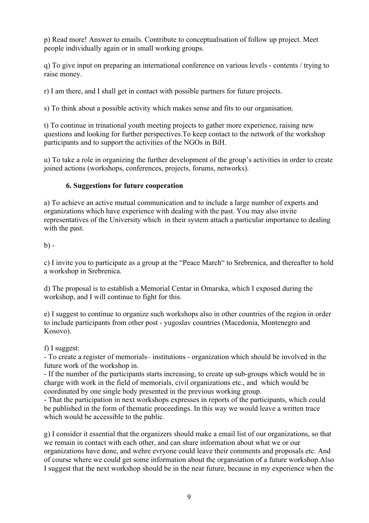p) Read more! Answer to emails. Contribute to conceptualisation of follow up project. Meet people individually again or in small working groups.

q) To give input on preparing an international conference on various levels - contents / trying to raise money.

r) I am there, and I shall get in contact with possible partners for future projects.

s) To think about a possible activity which makes sense and fits to our organisation.

t) To continue in trinational youth meeting projects to gather more experience, raising new questions and looking for further perspectives.To keep contact to the network of the workshop participants and to support the activities of the NGOs in BiH.

u) To take a role in organizing the further development of the group's activities in order to create joined actions (workshops, conferences, projects, forums, networks).

#### **6. Suggestions for future cooperation**

a) To achieve an active mutual communication and to include a large number of experts and organizations which have experience with dealing with the past. You may also invite representatives of the University which in their system attach a particular importance to dealing with the past.

#### $b) -$

c) I invite you to participate as a group at the "Peace March" to Srebrenica, and thereafter to hold a workshop in Srebrenica.

d) The proposal is to establish a Memorial Centar in Omarska, which I exposed during the workshop, and I will continue to fight for this.

e) I suggest to continue to organize such workshops also in other countries of the region in order to include participants from other post - yugoslav countries (Macedonia, Montenegro and Kosovo).

#### f) I suggest:

- To create a register of memorials– institutions - organization which should be involved in the future work of the workshop in.

- If the number of the participants starts increasing, to create up sub-groups which would be in charge with work in the field of memorials, civil organizations etc., and which would be coordinated by one single body presented in the previous working group.

- That the participation in next workshops expresses in reports of the participants, which could be published in the form of thematic proceedings. In this way we would leave a written trace which would be accessible to the public.

g) I consider it essential that the organizers should make a email list of our organizations, so that we remain in contact with each other, and can share information about what we or our organizations have done, and wehre evryone could leave their comments and proposals etc. And of course where we could get some information about the organsiation of a future workshop.Also I suggest that the next workshop should be in the near future, because in my experience when the